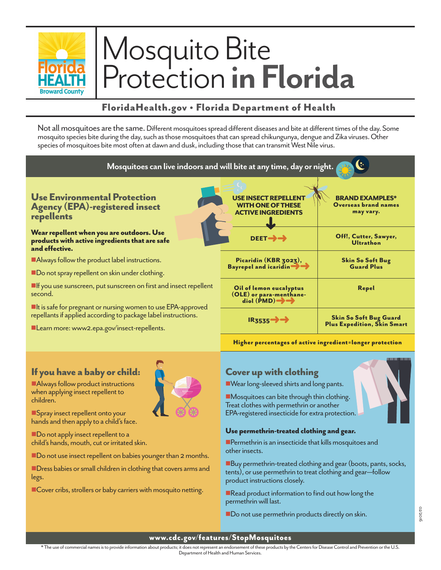

# Mosquito Bite Protection **in Florida**

## FloridaHealth.gov • Florida Department of Health

Not all mosquitoes are the same. Different mosquitoes spread different diseases and bite at different times of the day. Some mosquito species bite during the day, such as those mosquitoes that can spread chikungunya, dengue and Zika viruses. Other species of mosquitoes bite most often at dawn and dusk, including those that can transmit West Nile virus.



### If you have a baby or child:

**Always follow product instructions** when applying insect repellent to children.

**n**Spray insect repellent onto your hands and then apply to a child's face.

Do not apply insect repellent to a child's hands, mouth, cut or irritated skin.

■ Do not use insect repellent on babies younger than 2 months.

 $\blacksquare$  Dress babies or small children in clothing that covers arms and legs.

■Cover cribs, strollers or baby carriers with mosquito netting.

## Cover up with clothing

■ Wear long-sleeved shirts and long pants.

 $\blacksquare$ Mosquitoes can bite through thin clothing. Treat clothes with permethrin or another EPA-registered insecticide for extra protection.

#### Use permethrin-treated clothing and gear.

 $\blacksquare$  Permethrin is an insecticide that kills mosquitoes and other insects.

Buy permethrin-treated clothing and gear (boots, pants, socks, tents), or use permethrin to treat clothing and gear—follow product instructions closely.

 $\blacksquare$  Read product information to find out how long the permethrin will last.

Do not use permethrin products directly on skin.



www.cdc.gov/features/StopMosquitoes

\* The use of commercial names is to provide information about products; it does not represent an endorsement of these products by the Centers for Disease Control and Prevention or the U.S. Department of Health and Human Services.